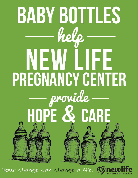

Your change can change a life. (1)